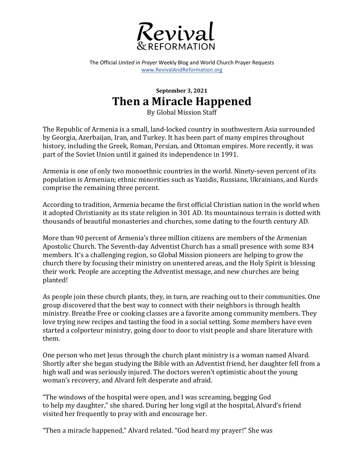

The Official *United in Prayer* Weekly Blog and World Church Prayer Requests www.RevivalAndReformation.org

## **September 3, 2021 Then a Miracle Happened**

By Global Mission Staff

The Republic of Armenia is a small, land-locked country in southwestern Asia surrounded by Georgia, Azerbaijan, Iran, and Turkey. It has been part of many empires throughout history, including the Greek, Roman, Persian, and Ottoman empires. More recently, it was part of the Soviet Union until it gained its independence in 1991.

Armenia is one of only two monoethnic countries in the world. Ninety-seven percent of its population is Armenian; ethnic minorities such as Yazidis, Russians, Ukrainians, and Kurds comprise the remaining three percent.

According to tradition, Armenia became the first official Christian nation in the world when it adopted Christianity as its state religion in 301 AD. Its mountainous terrain is dotted with thousands of beautiful monasteries and churches, some dating to the fourth century AD.

More than 90 percent of Armenia's three million citizens are members of the Armenian Apostolic Church. The Seventh-day Adventist Church has a small presence with some 834 members. It's a challenging region, so Global Mission pioneers are helping to grow the church there by focusing their ministry on unentered areas, and the Holy Spirit is blessing their work. People are accepting the Adventist message, and new churches are being planted!

As people join these church plants, they, in turn, are reaching out to their communities. One group discovered that the best way to connect with their neighbors is through health ministry. Breathe Free or cooking classes are a favorite among community members. They love trying new recipes and tasting the food in a social setting. Some members have even started a colporteur ministry, going door to door to visit people and share literature with them.

One person who met Jesus through the church plant ministry is a woman named Alvard. Shortly after she began studying the Bible with an Adventist friend, her daughter fell from a high wall and was seriously injured. The doctors weren't optimistic about the young woman's recovery, and Alvard felt desperate and afraid.

"The windows of the hospital were open, and I was screaming, begging God to help my daughter," she shared. During her long vigil at the hospital, Alvard's friend visited her frequently to pray with and encourage her.

"Then a miracle happened," Alvard related. "God heard my prayer!" She was